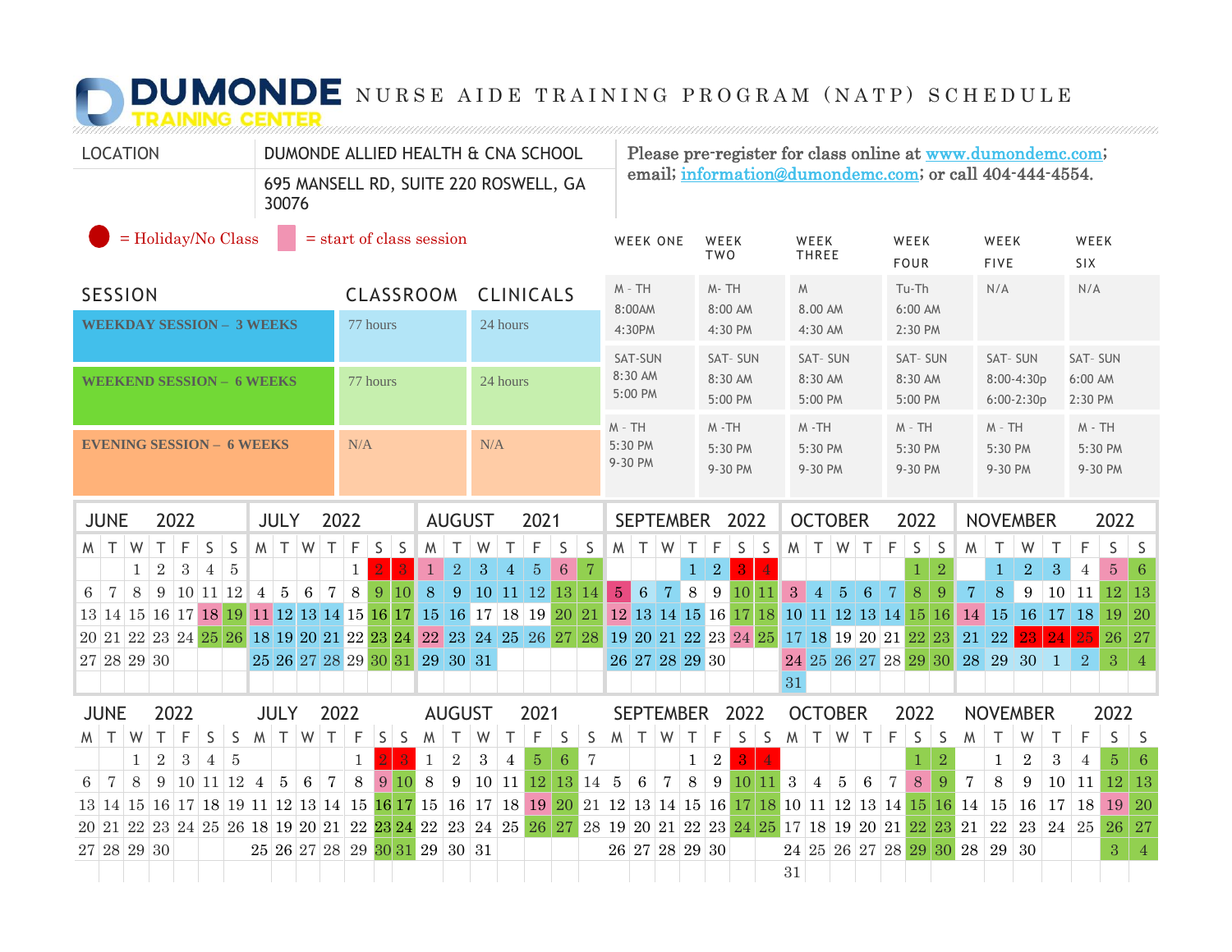## **NUMONDE** NURSE AIDE TRAINING PROGRAM (NATP) SCHEDULE

| <b>LOCATION</b>                                                                                             |  |   |                |   | DUMONDE ALLIED HEALTH & CNA SCHOOL |                                       |                     |                 |                 |                       |                               |                 |                       |                    |                 |                        | Please pre-register for class online at www.dumondemc.com;<br>email; information@dumondemc.com; or call 404-444-4554. |                    |                 |                  |                     |                    |                                           |                           |                     |                |                        |                           |                        |                |                     |                            |                      |                     |                         |               |                |        |                           |                |                |
|-------------------------------------------------------------------------------------------------------------|--|---|----------------|---|------------------------------------|---------------------------------------|---------------------|-----------------|-----------------|-----------------------|-------------------------------|-----------------|-----------------------|--------------------|-----------------|------------------------|-----------------------------------------------------------------------------------------------------------------------|--------------------|-----------------|------------------|---------------------|--------------------|-------------------------------------------|---------------------------|---------------------|----------------|------------------------|---------------------------|------------------------|----------------|---------------------|----------------------------|----------------------|---------------------|-------------------------|---------------|----------------|--------|---------------------------|----------------|----------------|
| 30076                                                                                                       |  |   |                |   |                                    | 695 MANSELL RD, SUITE 220 ROSWELL, GA |                     |                 |                 |                       |                               |                 |                       |                    |                 |                        |                                                                                                                       |                    |                 |                  |                     |                    |                                           |                           |                     |                |                        |                           |                        |                |                     |                            |                      |                     |                         |               |                |        |                           |                |                |
| $=$ Holiday/No Class<br>$=$ start of class session                                                          |  |   |                |   |                                    |                                       |                     |                 |                 |                       |                               | <b>WEEK ONE</b> |                       | WEEK<br><b>TWO</b> |                 |                        | WEEK<br><b>THREE</b>                                                                                                  |                    |                 |                  | WEEK<br><b>FOUR</b> |                    |                                           |                           | WEEK<br><b>FIVE</b> |                |                        | WEEK<br>SIX               |                        |                |                     |                            |                      |                     |                         |               |                |        |                           |                |                |
| <b>SESSION</b><br><b>CLASSROOM</b><br><b>CLINICALS</b>                                                      |  |   |                |   |                                    |                                       |                     |                 |                 |                       | $M - TH$<br>8:00AM            |                 |                       |                    | M-TH            | $M_{\odot}$<br>8.00 AM |                                                                                                                       |                    |                 | Tu-Th<br>6:00 AM |                     |                    |                                           | N/A                       |                     |                | N/A                    |                           |                        |                |                     |                            |                      |                     |                         |               |                |        |                           |                |                |
| <b>WEEKDAY SESSION - 3 WEEKS</b><br>77 hours                                                                |  |   |                |   |                                    |                                       |                     |                 |                 | 24 hours              |                               |                 |                       |                    |                 |                        | 4:30PM                                                                                                                |                    |                 |                  | 8:00 AM<br>4:30 PM  |                    |                                           | 4:30 AM                   |                     |                | 2:30 PM                |                           |                        |                |                     |                            |                      |                     |                         |               |                |        |                           |                |                |
|                                                                                                             |  |   |                |   |                                    |                                       |                     |                 |                 |                       |                               |                 |                       |                    |                 |                        |                                                                                                                       | SAT-SUN<br>8:30 AM |                 |                  | SAT-SUN             |                    |                                           | <b>SAT-SUN</b><br>8:30 AM |                     |                |                        | <b>SAT-SUN</b><br>8:30 AM |                        |                |                     | SAT-SUN                    |                      |                     | <b>SAT-SUN</b>          |               |                |        |                           |                |                |
| <b>WEEKEND SESSION - 6 WEEKS</b>                                                                            |  |   |                |   |                                    |                                       |                     |                 | 77 hours        |                       |                               |                 |                       | 24 hours           |                 |                        |                                                                                                                       |                    | 5:00 PM         |                  |                     | 8:30 AM<br>5:00 PM |                                           |                           | 5:00 PM             |                |                        | 5:00 PM                   |                        |                |                     | 8:00-4:30p<br>$6:00-2:30p$ |                      |                     | 6:00 AM<br>2:30 PM      |               |                |        |                           |                |                |
| <b>EVENING SESSION - 6 WEEKS</b>                                                                            |  |   |                |   |                                    |                                       |                     | N/A<br>N/A      |                 |                       |                               |                 |                       |                    |                 | $M - TH$<br>5:30 PM    |                                                                                                                       |                    |                 | $M - TH$         |                     |                    | $M - TH$                                  |                           |                     |                | $M - TH$               |                           |                        |                | $M - TH$<br>5:30 PM |                            |                      | $M - TH$<br>5:30 PM |                         |               |                |        |                           |                |                |
|                                                                                                             |  |   |                |   |                                    |                                       |                     |                 |                 |                       |                               |                 |                       |                    |                 |                        |                                                                                                                       | 9-30 PM            |                 |                  |                     | 5:30 PM<br>9-30 PM |                                           |                           | 5:30 PM<br>9-30 PM  |                |                        | 5:30 PM<br>9-30 PM        |                        |                |                     | 9-30 PM                    |                      |                     | 9-30 PM                 |               |                |        |                           |                |                |
| 2022<br><b>JUNE</b><br><b>JULY</b>                                                                          |  |   |                |   |                                    |                                       |                     |                 | 2022            | <b>AUGUST</b><br>2021 |                               |                 |                       |                    |                 |                        |                                                                                                                       | <b>SEPTEMBER</b>   |                 |                  |                     | 2022               |                                           |                           | <b>OCTOBER</b>      |                |                        | 2022                      |                        |                |                     | <b>NOVEMBER</b>            |                      |                     | 2022                    |               |                |        |                           |                |                |
| $\top$<br>M I                                                                                               |  | W | T.             | F | $\mathsf S$                        | S                                     |                     |                 | M T W           | $\top$                | $\mathsf F$                   | $S \mid S$      |                       | M                  | $\top$          | W                      | T                                                                                                                     | F                  | S               | <sub>S</sub>     | M                   | T W                |                                           | $\top$                    | F                   | $S \mid S$     |                        |                           |                        | M T W T        |                     | F                          | S                    | $\vert$ S           | M                       | $\top$        | W              | $\top$ | F                         | S              | S.             |
|                                                                                                             |  | 1 | $\overline{2}$ | 3 | 4                                  | 5                                     |                     |                 |                 |                       | $\mathbf{1}$                  | $\overline{2}$  | $\mathbf{R}$          | $\mathbf{1}$       | $\sqrt{2}$      | $\overline{3}$         | $\overline{4}$                                                                                                        | $\overline{5}$     | $6\phantom{1}6$ | -7               |                     |                    |                                           | $\mathbf{1}$              | $\overline{2}$      | $\overline{R}$ | $\boldsymbol{\Lambda}$ |                           |                        |                |                     |                            | 1                    | $\overline{2}$      |                         | $\mathbf{1}$  | $\overline{2}$ | 3      | $\overline{4}$            | $\overline{5}$ | 6              |
| $\overline{7}$<br>6                                                                                         |  | 8 |                |   | 9 10 11 12                         |                                       |                     | $4 \mid 5 \mid$ | 6 <sup>1</sup>  | $\overline{7}$        | 8                             |                 | 9 10                  | 8                  |                 | 9 10 11 12 13 14       |                                                                                                                       |                    |                 |                  | 5 <sup>1</sup>      | $6\phantom{1}6$    | 7 <sup>1</sup>                            | 8                         | 9                   |                | $10$   $11$            |                           | $3 \mid 4 \mid 5 \mid$ |                | $6\phantom{1}6$     | $\overline{7}$             | $\,8\,$              | 9                   | $\overline{7}$          | 8             | 9              |        | $\vert 10 \vert 11 \vert$ | <b>12</b>      | 13             |
| 13 14 15 16 17 18 19                                                                                        |  |   |                |   |                                    |                                       |                     |                 |                 |                       | 11 12 13 14 15 16 17          |                 |                       |                    |                 | 15 16 17 18 19 20 21   |                                                                                                                       |                    |                 |                  |                     |                    | 12 13 14 15 16 17 18                      |                           |                     |                |                        | 10 11 12 13 14 15 16      |                        |                |                     |                            |                      |                     |                         | $14 \vert 15$ | 16 17 18       |        |                           | 19             | 20             |
| 20 21 22 23 24 25 26 18 19 20 21 22 23 24 22 23 24 25 26 27 28                                              |  |   |                |   |                                    |                                       |                     |                 |                 |                       |                               |                 |                       |                    |                 |                        |                                                                                                                       |                    |                 |                  |                     |                    | 19 20 21 22 23 24 25 17 18 19 20 21 22 23 |                           |                     |                |                        |                           |                        |                |                     |                            |                      |                     | 21 22                   |               | 23             | 24     | 25                        | 26 27          |                |
| 27 28 29 30                                                                                                 |  |   |                |   |                                    |                                       |                     |                 |                 |                       | 25 26 27 28 29 30 31 29 30 31 |                 |                       |                    |                 |                        |                                                                                                                       |                    |                 |                  |                     |                    | 26 27 28 29 30                            |                           |                     |                |                        |                           |                        |                |                     |                            | 24 25 26 27 28 29 30 |                     |                         | 28 29 30 1    |                |        | $\overline{2}$            | 3              | $\overline{4}$ |
|                                                                                                             |  |   |                |   |                                    |                                       |                     |                 |                 |                       |                               |                 |                       |                    |                 |                        |                                                                                                                       |                    |                 |                  |                     |                    |                                           |                           |                     |                |                        | 31                        |                        |                |                     |                            |                      |                     |                         |               |                |        |                           |                |                |
| 2022<br><b>JUNE</b>                                                                                         |  |   |                |   |                                    |                                       | 2022<br><b>JULY</b> |                 |                 |                       |                               |                 | <b>AUGUST</b><br>2021 |                    |                 |                        |                                                                                                                       |                    |                 |                  |                     | SEPTEMBER 2022     |                                           |                           |                     |                | <b>OCTOBER</b>         |                           |                        |                | 2022                |                            |                      |                     | <b>NOVEMBER</b>         |               |                | 2022   |                           |                |                |
| Τ<br>M                                                                                                      |  | W | T.             | F | S                                  | S                                     |                     |                 | $M$ T $W$ T     |                       | $\mathsf F$                   | $S$ S           |                       | M                  | $\top$          | W                      | $\top$                                                                                                                | F                  | $\sf S$         | $\mathsf S$      | $M$ $T$             |                    | W                                         | $\top$                    | F                   | $S \mid S$     |                        | $M$ T $W$                 |                        |                | $\top$              | F                          | $\mathsf S$          | S                   | W                       | $\top$        | W              | $\top$ | F                         | S              | S              |
|                                                                                                             |  | 1 | $\overline{2}$ | 3 | $\overline{4}$                     | 5                                     |                     |                 |                 |                       | $\mathbf{1}$                  |                 |                       | $\mathbf{1}$       | $\sqrt{2}$      | $\boldsymbol{3}$       | $\overline{4}$                                                                                                        | $\bf 5$            | $6\phantom{1}6$ | $\overline{7}$   |                     |                    |                                           | $\mathbf{1}$              | $\,2$               | 3 <sup>°</sup> | $\overline{4}$         |                           |                        |                |                     |                            |                      | $\overline{2}$      |                         | $\mathbf 1$   | $\overline{2}$ | 3      | 4                         | $\overline{5}$ | -6             |
| $\overline{7}$<br>6                                                                                         |  | 8 | 9              |   | 10 11 12                           |                                       | $\overline{4}$      | $5\overline{)}$ | $6\phantom{.}6$ | $\overline{7}$        | $8\,$                         | 9               | 10                    | 8                  | $9\phantom{.0}$ | 10 11 12 13 14 5       |                                                                                                                       |                    |                 |                  |                     | $\,6\,$            | $\overline{7}$                            | 8                         | 9                   | <b>10</b>      | 11                     | $\sqrt{3}$                | $\overline{4}$         | $\overline{5}$ | $6\phantom{1}6$     | $\overline{7}$             | 8                    | 9                   | $\overline{7}$          | 8             | 9              | 10     | 11                        | <b>12</b>      | 13             |
| 13 14 15 16 17 18 19 11 12 13 14 15 16 17 15 16 17 18 19 20 21 12 13 14 15 16 17 18 10 11 12 13 14 15 16 14 |  |   |                |   |                                    |                                       |                     |                 |                 |                       |                               |                 |                       |                    |                 |                        |                                                                                                                       |                    |                 |                  |                     |                    |                                           |                           |                     |                |                        |                           |                        |                |                     |                            |                      |                     |                         | <b>15</b>     | 16             | 17     | 18                        | 19             | <sup>20</sup>  |
| 20 21 22 23 24 25 26 18 19 20 21 22 23 24 22 23 24 25 26 27 28 19 20 21 22 23 24 25 17 18 19 20 21 22 23 21 |  |   |                |   |                                    |                                       |                     |                 |                 |                       |                               |                 |                       |                    |                 |                        |                                                                                                                       |                    |                 |                  |                     |                    |                                           |                           |                     |                |                        |                           |                        |                |                     |                            |                      |                     |                         | 22            | 23             |        | 24 25 26                  |                | 27             |
| 27 28 29 30                                                                                                 |  |   |                |   |                                    |                                       |                     |                 |                 |                       | 25 26 27 28 29 30 31 29 30 31 |                 |                       |                    |                 |                        |                                                                                                                       |                    |                 |                  |                     |                    | 26 27 28 29 30                            |                           |                     |                |                        |                           |                        |                |                     |                            |                      |                     | 24 25 26 27 28 29 30 28 | 29            | 30             |        |                           | 3              | $\overline{4}$ |
|                                                                                                             |  |   |                |   |                                    |                                       |                     |                 |                 |                       |                               |                 |                       |                    |                 |                        |                                                                                                                       |                    |                 |                  |                     |                    |                                           |                           |                     |                |                        | $31\,$                    |                        |                |                     |                            |                      |                     |                         |               |                |        |                           |                |                |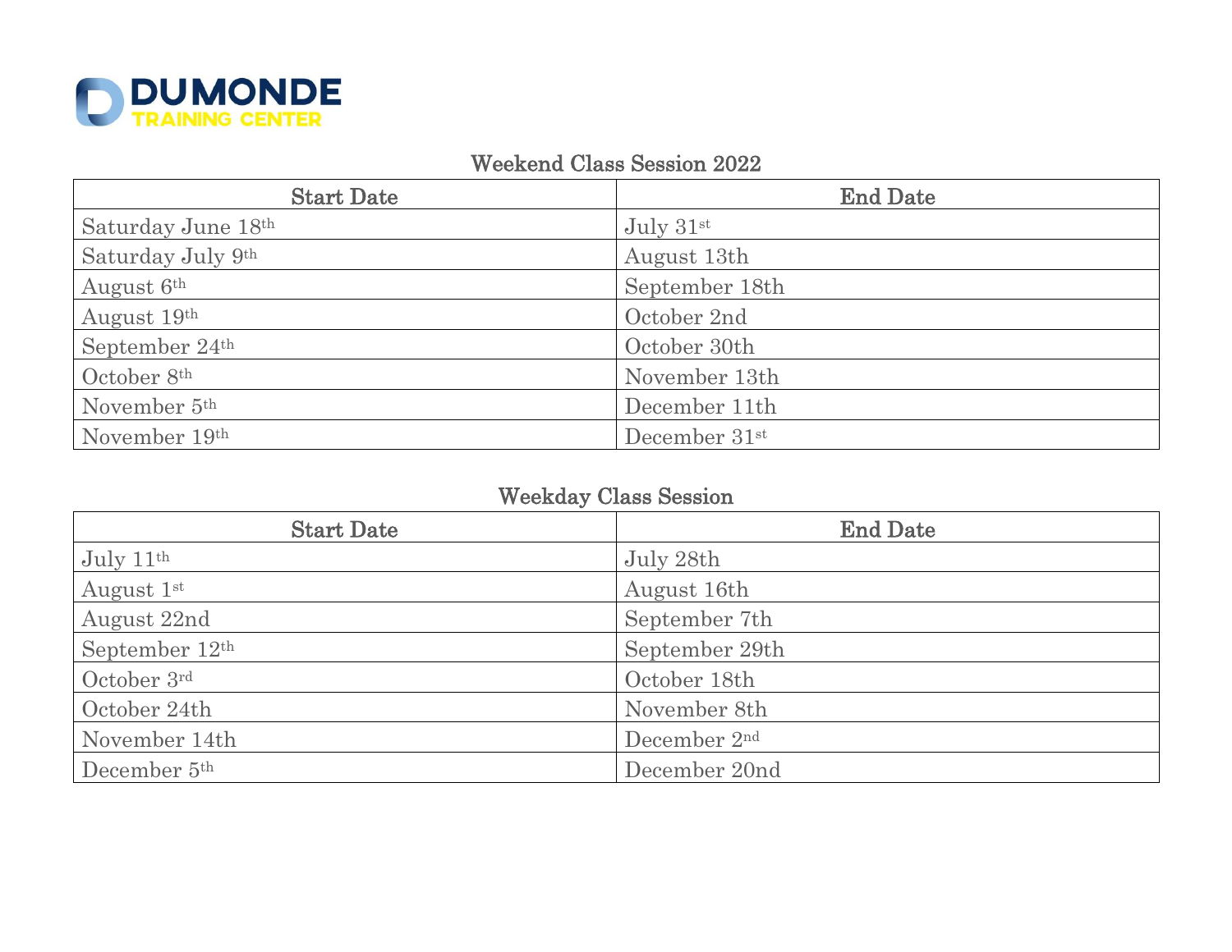

## Weekend Class Session 2022

| <b>Start Date</b>        | <b>End Date</b> |
|--------------------------|-----------------|
| Saturday June 18th       | July $31st$     |
| Saturday July 9th        | August 13th     |
| August 6th               | September 18th  |
| August 19th              | October 2nd     |
| September 24th           | October 30th    |
| October 8th              | November 13th   |
| November 5 <sup>th</sup> | December 11th   |
| November 19th            | December 31st   |

## Weekday Class Session

| <b>Start Date</b>          | <b>End Date</b> |
|----------------------------|-----------------|
| July $11th$                | July 28th       |
| August 1st                 | August 16th     |
| August 22nd                | September 7th   |
| September 12 <sup>th</sup> | September 29th  |
| October 3rd                | October 18th    |
| October 24th               | November 8th    |
| November 14th              | December 2nd    |
| December 5 <sup>th</sup>   | December 20nd   |